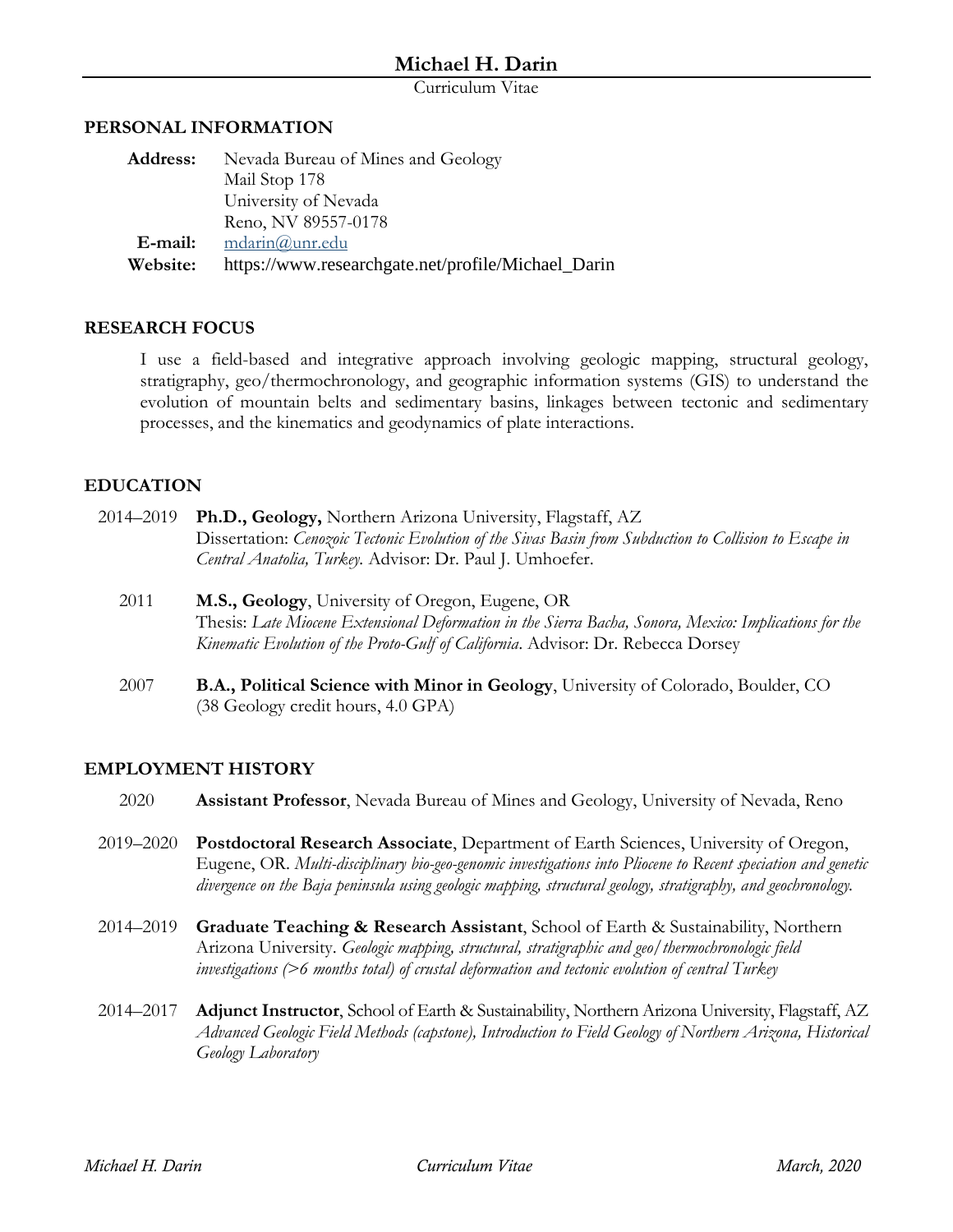Curriculum Vitae

#### **PERSONAL INFORMATION**

| <b>Address:</b> | Nevada Bureau of Mines and Geology                 |
|-----------------|----------------------------------------------------|
|                 | Mail Stop 178                                      |
|                 | University of Nevada                               |
|                 | Reno, NV 89557-0178                                |
| E-mail:         | $mdarin@$ unr.edu                                  |
| Website:        | https://www.researchgate.net/profile/Michael_Darin |

#### **RESEARCH FOCUS**

I use a field-based and integrative approach involving geologic mapping, structural geology, stratigraphy, geo/thermochronology, and geographic information systems (GIS) to understand the evolution of mountain belts and sedimentary basins, linkages between tectonic and sedimentary processes, and the kinematics and geodynamics of plate interactions.

## **EDUCATION**

- 2014–2019 **Ph.D., Geology,** Northern Arizona University, Flagstaff, AZ Dissertation: *Cenozoic Tectonic Evolution of the Sivas Basin from Subduction to Collision to Escape in Central Anatolia, Turkey.* Advisor: Dr. Paul J. Umhoefer.
	- 2011 **M.S., Geology**, University of Oregon, Eugene, OR Thesis: *Late Miocene Extensional Deformation in the Sierra Bacha, Sonora, Mexico: Implications for the Kinematic Evolution of the Proto-Gulf of California*. Advisor: Dr. Rebecca Dorsey
	- 2007 **B.A., Political Science with Minor in Geology**, University of Colorado, Boulder, CO (38 Geology credit hours, 4.0 GPA)

# **EMPLOYMENT HISTORY**

- 2020 **Assistant Professor**, Nevada Bureau of Mines and Geology, University of Nevada, Reno
- 2019–2020 **Postdoctoral Research Associate**, Department of Earth Sciences, University of Oregon, Eugene, OR. *Multi-disciplinary bio-geo-genomic investigations into Pliocene to Recent speciation and genetic divergence on the Baja peninsula using geologic mapping, structural geology, stratigraphy, and geochronology.*
- 2014–2019 **Graduate Teaching & Research Assistant**, School of Earth & Sustainability, Northern Arizona University. *Geologic mapping, structural, stratigraphic and geo/thermochronologic field investigations (>6 months total) of crustal deformation and tectonic evolution of central Turkey*
- 2014–2017 **Adjunct Instructor**, School of Earth & Sustainability, Northern Arizona University, Flagstaff, AZ *Advanced Geologic Field Methods (capstone), Introduction to Field Geology of Northern Arizona, Historical Geology Laboratory*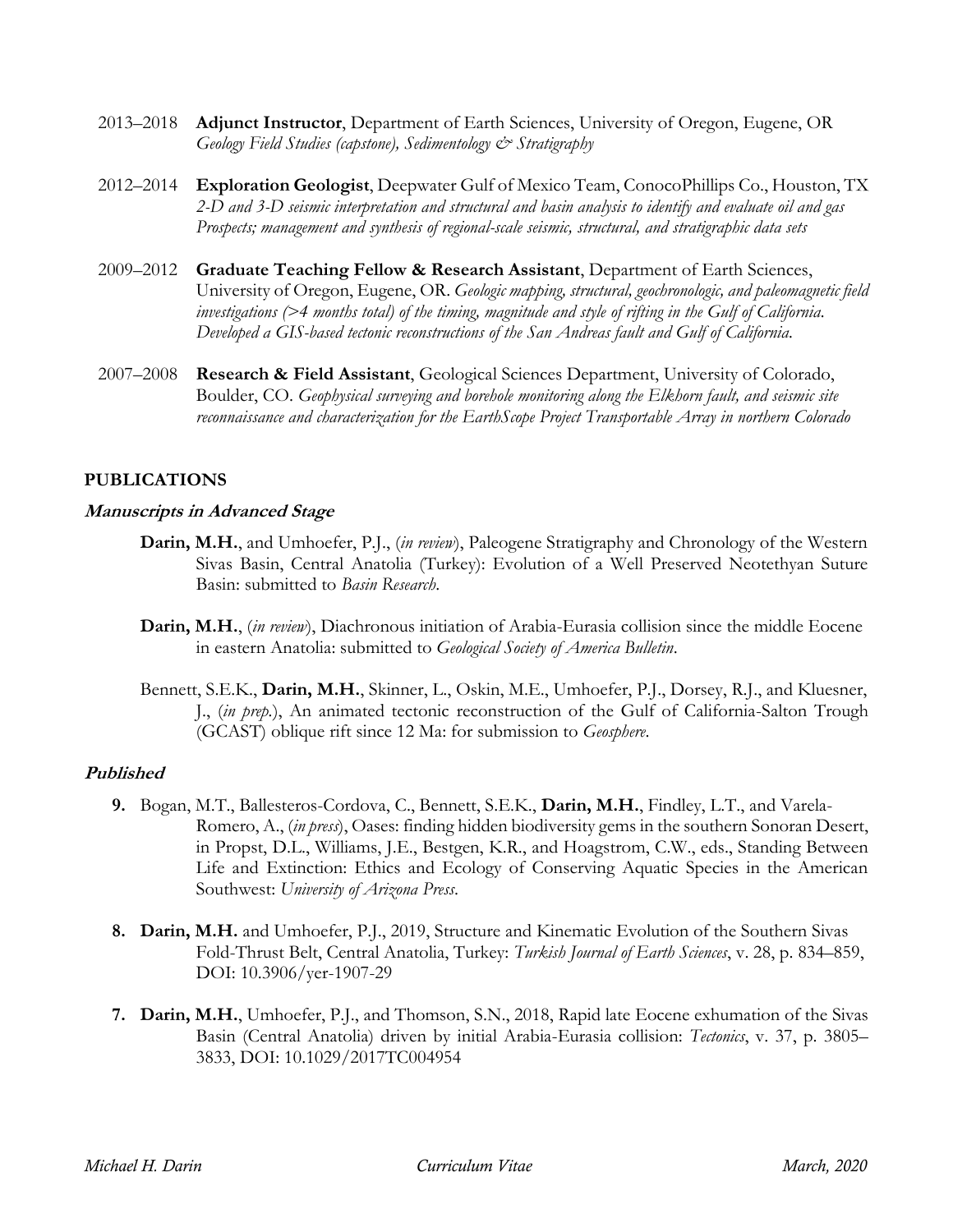- 2013–2018 **Adjunct Instructor**, Department of Earth Sciences, University of Oregon, Eugene, OR *Geology Field Studies (capstone), Sedimentology & Stratigraphy*
- 2012–2014 **Exploration Geologist**, Deepwater Gulf of Mexico Team, ConocoPhillips Co., Houston, TX *2-D and 3-D seismic interpretation and structural and basin analysis to identify and evaluate oil and gas Prospects; management and synthesis of regional-scale seismic, structural, and stratigraphic data sets*
- 2009–2012 **Graduate Teaching Fellow & Research Assistant**, Department of Earth Sciences, University of Oregon, Eugene, OR. *Geologic mapping, structural, geochronologic, and paleomagnetic field investigations (>4 months total) of the timing, magnitude and style of rifting in the Gulf of California. Developed a GIS-based tectonic reconstructions of the San Andreas fault and Gulf of California.*
- 2007–2008 **Research & Field Assistant**, Geological Sciences Department, University of Colorado, Boulder, CO. *Geophysical surveying and borehole monitoring along the Elkhorn fault, and seismic site reconnaissance and characterization for the EarthScope Project Transportable Array in northern Colorado*

## **PUBLICATIONS**

#### **Manuscripts in Advanced Stage**

- **Darin, M.H.**, and Umhoefer, P.J., (*in review*), Paleogene Stratigraphy and Chronology of the Western Sivas Basin, Central Anatolia (Turkey): Evolution of a Well Preserved Neotethyan Suture Basin: submitted to *Basin Research*.
- **Darin, M.H.**, (*in review*), Diachronous initiation of Arabia-Eurasia collision since the middle Eocene in eastern Anatolia: submitted to *Geological Society of America Bulletin*.
- Bennett, S.E.K., **Darin, M.H.**, Skinner, L., Oskin, M.E., Umhoefer, P.J., Dorsey, R.J., and Kluesner, J., (*in prep.*), An animated tectonic reconstruction of the Gulf of California-Salton Trough (GCAST) oblique rift since 12 Ma: for submission to *Geosphere*.

## **Published**

- **9.** Bogan, M.T., Ballesteros-Cordova, C., Bennett, S.E.K., **Darin, M.H.**, Findley, L.T., and Varela-Romero, A., (*in press*), Oases: finding hidden biodiversity gems in the southern Sonoran Desert, in Propst, D.L., Williams, J.E., Bestgen, K.R., and Hoagstrom, C.W., eds., Standing Between Life and Extinction: Ethics and Ecology of Conserving Aquatic Species in the American Southwest: *University of Arizona Press*.
- **8. Darin, M.H.** and Umhoefer, P.J., 2019, Structure and Kinematic Evolution of the Southern Sivas Fold-Thrust Belt, Central Anatolia, Turkey: *Turkish Journal of Earth Sciences*, v. 28, p. 834–859, DOI: 10.3906/yer-1907-29
- **7. Darin, M.H.**, Umhoefer, P.J., and Thomson, S.N., 2018, Rapid late Eocene exhumation of the Sivas Basin (Central Anatolia) driven by initial Arabia-Eurasia collision: *Tectonics*, v. 37, p. 3805– 3833, DOI: 10.1029/2017TC004954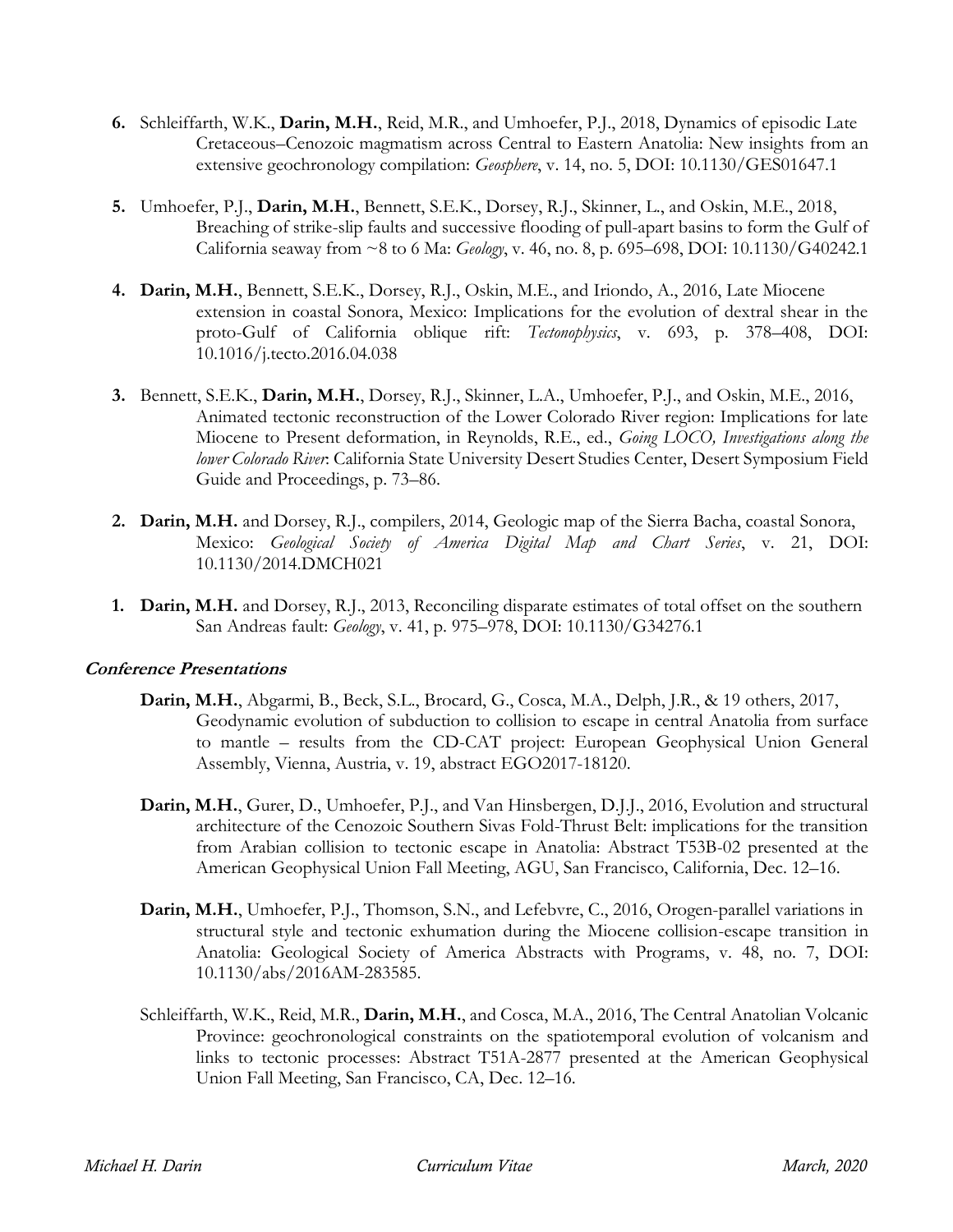- **6.** Schleiffarth, W.K., **Darin, M.H.**, Reid, M.R., and Umhoefer, P.J., 2018, Dynamics of episodic Late Cretaceous–Cenozoic magmatism across Central to Eastern Anatolia: New insights from an extensive geochronology compilation: *Geosphere*, v. 14, no. 5, DOI: 10.1130/GES01647.1
- **5.** Umhoefer, P.J., **Darin, M.H.**, Bennett, S.E.K., Dorsey, R.J., Skinner, L., and Oskin, M.E., 2018, Breaching of strike-slip faults and successive flooding of pull-apart basins to form the Gulf of California seaway from ~8 to 6 Ma: *Geology*, v. 46, no. 8, p. 695–698, DOI: 10.1130/G40242.1
- **4. Darin, M.H.**, Bennett, S.E.K., Dorsey, R.J., Oskin, M.E., and Iriondo, A., 2016, Late Miocene extension in coastal Sonora, Mexico: Implications for the evolution of dextral shear in the proto-Gulf of California oblique rift: *Tectonophysics*, v. 693, p. 378–408, DOI: 10.1016/j.tecto.2016.04.038
- **3.** Bennett, S.E.K., **Darin, M.H.**, Dorsey, R.J., Skinner, L.A., Umhoefer, P.J., and Oskin, M.E., 2016, Animated tectonic reconstruction of the Lower Colorado River region: Implications for late Miocene to Present deformation, in Reynolds, R.E., ed., *Going LOCO, Investigations along the lower Colorado River*: California State University Desert Studies Center, Desert Symposium Field Guide and Proceedings, p. 73–86.
- **2. Darin, M.H.** and Dorsey, R.J., compilers, 2014, Geologic map of the Sierra Bacha, coastal Sonora, Mexico: *Geological Society of America Digital Map and Chart Series*, v. 21, DOI: 10.1130/2014.DMCH021
- **1. Darin, M.H.** and Dorsey, R.J., 2013, Reconciling disparate estimates of total offset on the southern San Andreas fault: *Geology*, v. 41, p. 975–978, DOI: 10.1130/G34276.1

## **Conference Presentations**

- **Darin, M.H.**, Abgarmi, B., Beck, S.L., Brocard, G., Cosca, M.A., Delph, J.R., & 19 others, 2017, Geodynamic evolution of subduction to collision to escape in central Anatolia from surface to mantle – results from the CD-CAT project: European Geophysical Union General Assembly, Vienna, Austria, v. 19, abstract EGO2017-18120.
- **Darin, M.H.**, Gurer, D., Umhoefer, P.J., and Van Hinsbergen, D.J.J., 2016, Evolution and structural architecture of the Cenozoic Southern Sivas Fold-Thrust Belt: implications for the transition from Arabian collision to tectonic escape in Anatolia: Abstract T53B-02 presented at the American Geophysical Union Fall Meeting, AGU, San Francisco, California, Dec. 12–16.
- **Darin, M.H.**, Umhoefer, P.J., Thomson, S.N., and Lefebvre, C., 2016, Orogen-parallel variations in structural style and tectonic exhumation during the Miocene collision-escape transition in Anatolia: Geological Society of America Abstracts with Programs, v. 48, no. 7, DOI: 10.1130/abs/2016AM-283585.
- Schleiffarth, W.K., Reid, M.R., **Darin, M.H.**, and Cosca, M.A., 2016, The Central Anatolian Volcanic Province: geochronological constraints on the spatiotemporal evolution of volcanism and links to tectonic processes: Abstract T51A-2877 presented at the American Geophysical Union Fall Meeting, San Francisco, CA, Dec. 12–16.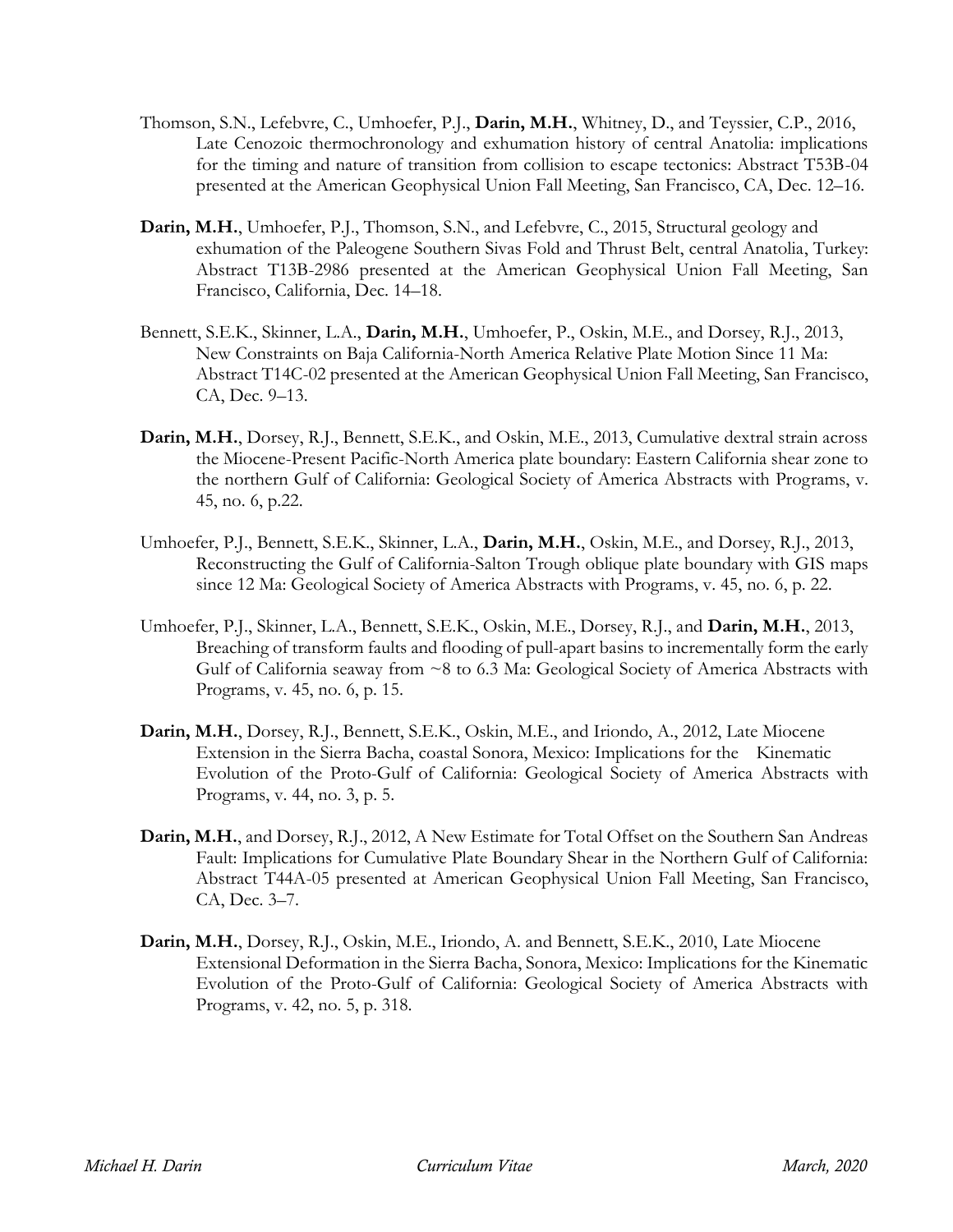- Thomson, S.N., Lefebvre, C., Umhoefer, P.J., **Darin, M.H.**, Whitney, D., and Teyssier, C.P., 2016, Late Cenozoic thermochronology and exhumation history of central Anatolia: implications for the timing and nature of transition from collision to escape tectonics: Abstract T53B-04 presented at the American Geophysical Union Fall Meeting, San Francisco, CA, Dec. 12–16.
- **Darin, M.H.**, Umhoefer, P.J., Thomson, S.N., and Lefebvre, C., 2015, Structural geology and exhumation of the Paleogene Southern Sivas Fold and Thrust Belt, central Anatolia, Turkey: Abstract T13B-2986 presented at the American Geophysical Union Fall Meeting, San Francisco, California, Dec. 14–18.
- Bennett, S.E.K., Skinner, L.A., **Darin, M.H.**, Umhoefer, P., Oskin, M.E., and Dorsey, R.J., 2013, New Constraints on Baja California-North America Relative Plate Motion Since 11 Ma: Abstract T14C-02 presented at the American Geophysical Union Fall Meeting, San Francisco, CA, Dec. 9–13.
- **Darin, M.H.**, Dorsey, R.J., Bennett, S.E.K., and Oskin, M.E., 2013, Cumulative dextral strain across the Miocene-Present Pacific-North America plate boundary: Eastern California shear zone to the northern Gulf of California: Geological Society of America Abstracts with Programs, v. 45, no. 6, p.22.
- Umhoefer, P.J., Bennett, S.E.K., Skinner, L.A., **Darin, M.H.**, Oskin, M.E., and Dorsey, R.J., 2013, Reconstructing the Gulf of California-Salton Trough oblique plate boundary with GIS maps since 12 Ma: Geological Society of America Abstracts with Programs, v. 45, no. 6, p. 22.
- Umhoefer, P.J., Skinner, L.A., Bennett, S.E.K., Oskin, M.E., Dorsey, R.J., and **Darin, M.H.**, 2013, Breaching of transform faults and flooding of pull-apart basins to incrementally form the early Gulf of California seaway from  $\sim$ 8 to 6.3 Ma: Geological Society of America Abstracts with Programs, v. 45, no. 6, p. 15.
- **Darin, M.H.**, Dorsey, R.J., Bennett, S.E.K., Oskin, M.E., and Iriondo, A., 2012, Late Miocene Extension in the Sierra Bacha, coastal Sonora, Mexico: Implications for the Kinematic Evolution of the Proto-Gulf of California: Geological Society of America Abstracts with Programs, v. 44, no. 3, p. 5.
- **Darin, M.H.**, and Dorsey, R.J., 2012, A New Estimate for Total Offset on the Southern San Andreas Fault: Implications for Cumulative Plate Boundary Shear in the Northern Gulf of California: Abstract T44A-05 presented at American Geophysical Union Fall Meeting, San Francisco, CA, Dec. 3–7.
- **Darin, M.H.**, Dorsey, R.J., Oskin, M.E., Iriondo, A. and Bennett, S.E.K., 2010, Late Miocene Extensional Deformation in the Sierra Bacha, Sonora, Mexico: Implications for the Kinematic Evolution of the Proto-Gulf of California: Geological Society of America Abstracts with Programs, v. 42, no. 5, p. 318.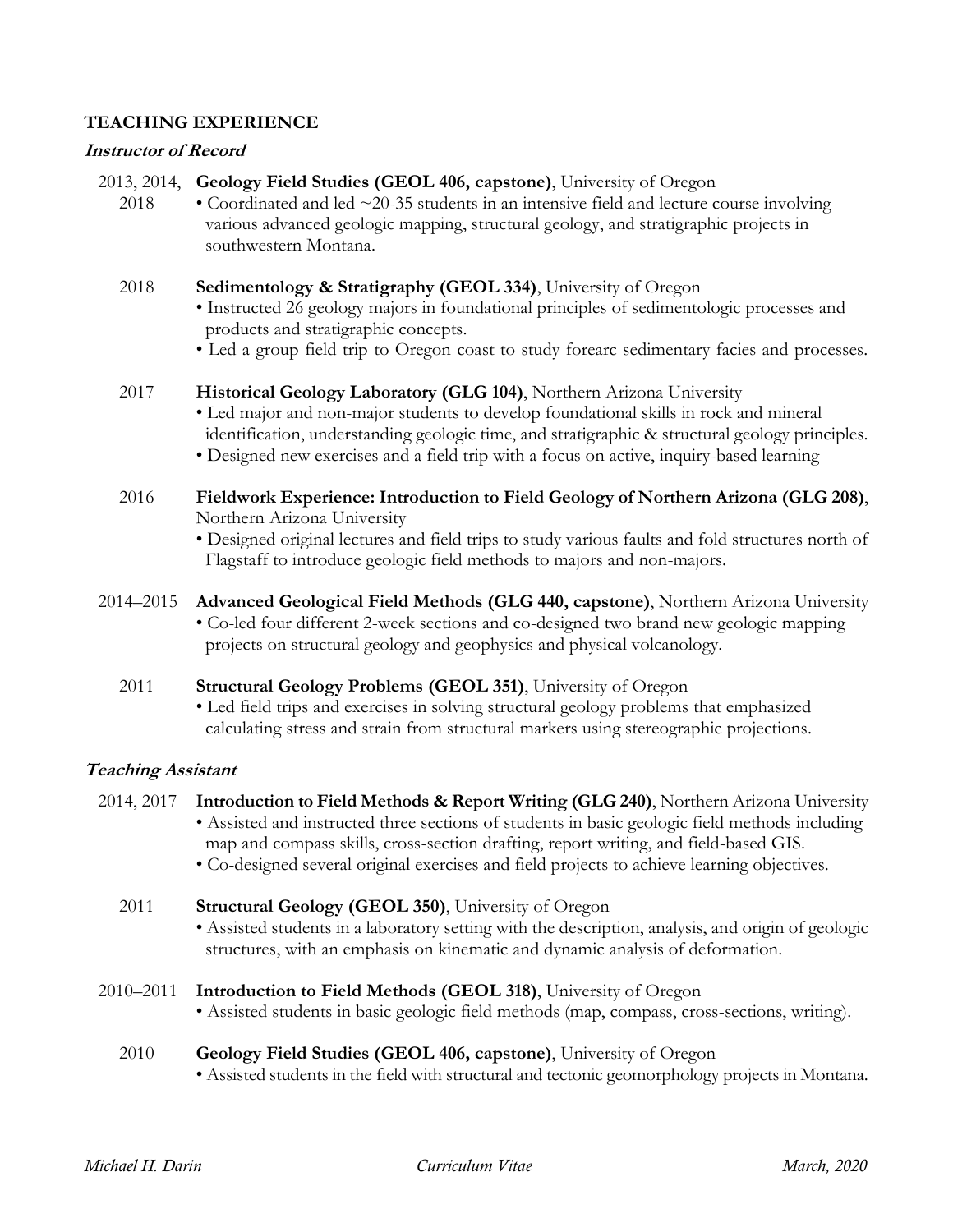## **TEACHING EXPERIENCE**

#### **Instructor of Record**

- 2013, 2014, **Geology Field Studies (GEOL 406, capstone)**, University of Oregon
	- 2018 Coordinated and led  $\sim$  20-35 students in an intensive field and lecture course involving various advanced geologic mapping, structural geology, and stratigraphic projects in southwestern Montana.
	- 2018 **Sedimentology & Stratigraphy (GEOL 334)**, University of Oregon • Instructed 26 geology majors in foundational principles of sedimentologic processes and products and stratigraphic concepts.
		- Led a group field trip to Oregon coast to study forearc sedimentary facies and processes.

#### 2017 **Historical Geology Laboratory (GLG 104)**, Northern Arizona University

- Led major and non-major students to develop foundational skills in rock and mineral identification, understanding geologic time, and stratigraphic & structural geology principles.
- Designed new exercises and a field trip with a focus on active, inquiry-based learning
- 2016 **Fieldwork Experience: Introduction to Field Geology of Northern Arizona (GLG 208)**, Northern Arizona University
	- Designed original lectures and field trips to study various faults and fold structures north of Flagstaff to introduce geologic field methods to majors and non-majors.
- 2014–2015 **Advanced Geological Field Methods (GLG 440, capstone)**, Northern Arizona University • Co-led four different 2-week sections and co-designed two brand new geologic mapping projects on structural geology and geophysics and physical volcanology.
	- 2011 **Structural Geology Problems (GEOL 351)**, University of Oregon
		- Led field trips and exercises in solving structural geology problems that emphasized calculating stress and strain from structural markers using stereographic projections.

## **Teaching Assistant**

- 2014, 2017 **Introduction to Field Methods & Report Writing (GLG 240)**, Northern Arizona University • Assisted and instructed three sections of students in basic geologic field methods including map and compass skills, cross-section drafting, report writing, and field-based GIS. • Co-designed several original exercises and field projects to achieve learning objectives.
	- 2011 **Structural Geology (GEOL 350)**, University of Oregon
		- Assisted students in a laboratory setting with the description, analysis, and origin of geologic structures, with an emphasis on kinematic and dynamic analysis of deformation.
- 2010–2011 **Introduction to Field Methods (GEOL 318)**, University of Oregon
	- Assisted students in basic geologic field methods (map, compass, cross-sections, writing).
	- 2010 **Geology Field Studies (GEOL 406, capstone)**, University of Oregon • Assisted students in the field with structural and tectonic geomorphology projects in Montana.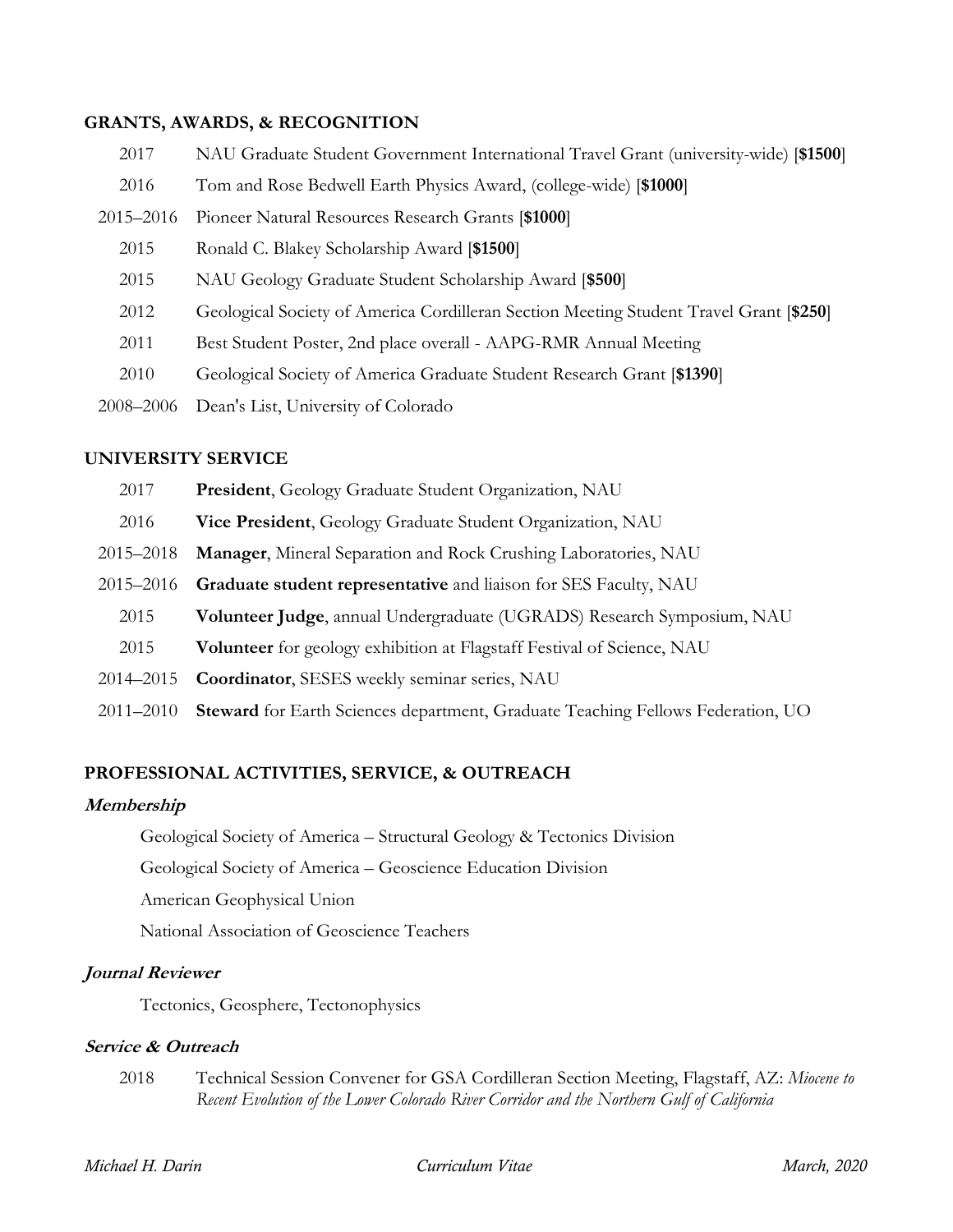#### **GRANTS, AWARDS, & RECOGNITION**

| 2017      | NAU Graduate Student Government International Travel Grant (university-wide) [\$1500]  |
|-----------|----------------------------------------------------------------------------------------|
| 2016      | Tom and Rose Bedwell Earth Physics Award, (college-wide) [\$1000]                      |
| 2015-2016 | Pioneer Natural Resources Research Grants [\$1000]                                     |
| 2015      | Ronald C. Blakey Scholarship Award [\$1500]                                            |
| 2015      | NAU Geology Graduate Student Scholarship Award [\$500]                                 |
| 2012      | Geological Society of America Cordilleran Section Meeting Student Travel Grant [\$250] |
| 2011      | Best Student Poster, 2nd place overall - AAPG-RMR Annual Meeting                       |
| 2010      | Geological Society of America Graduate Student Research Grant [\$1390]                 |
| 2008-2006 | Dean's List, University of Colorado                                                    |
|           |                                                                                        |

## **UNIVERSITY SERVICE**

| 2017      | President, Geology Graduate Student Organization, NAU                                  |
|-----------|----------------------------------------------------------------------------------------|
| 2016      | Vice President, Geology Graduate Student Organization, NAU                             |
| 2015–2018 | Manager, Mineral Separation and Rock Crushing Laboratories, NAU                        |
| 2015–2016 | Graduate student representative and liaison for SES Faculty, NAU                       |
| 2015      | Volunteer Judge, annual Undergraduate (UGRADS) Research Symposium, NAU                 |
| 2015      | Volunteer for geology exhibition at Flagstaff Festival of Science, NAU                 |
| 2014–2015 | <b>Coordinator</b> , SESES weekly seminar series, NAU                                  |
| 2011–2010 | <b>Steward</b> for Earth Sciences department, Graduate Teaching Fellows Federation, UO |

# **PROFESSIONAL ACTIVITIES, SERVICE, & OUTREACH**

## **Membership**

Geological Society of America – Structural Geology & Tectonics Division

Geological Society of America – Geoscience Education Division

American Geophysical Union

National Association of Geoscience Teachers

## **Journal Reviewer**

Tectonics, Geosphere, Tectonophysics

## **Service & Outreach**

2018 Technical Session Convener for GSA Cordilleran Section Meeting, Flagstaff, AZ: *Miocene to Recent Evolution of the Lower Colorado River Corridor and the Northern Gulf of California*